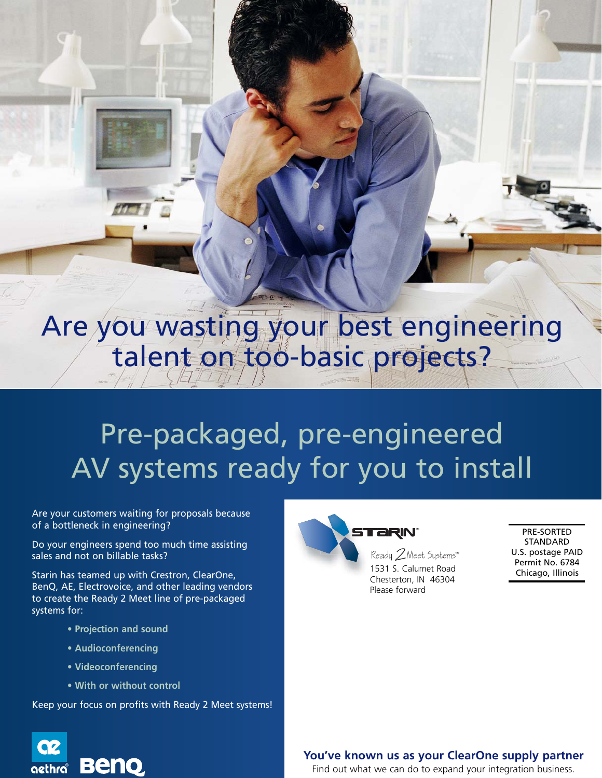# Are you wasting your best engineering talent on too-basic projects?

# Pre-packaged, pre-engineered AV systems ready for you to install

Are your customers waiting for proposals because of a bottleneck in engineering?

Do your engineers spend too much time assisting sales and not on billable tasks?

Starin has teamed up with Crestron, ClearOne, BenQ, AE, Electrovoice, and other leading vendors to create the Ready 2 Meet line of pre-packaged systems for:

- **Projection and sound**
- **Audioconferencing**
- **Videoconferencing**

**Beno** 

**G2** 

aethra

**• With or without control**

Keep your focus on profits with Ready 2 Meet systems!



PRE-SORTED STANDARD U.S. postage PAID Permit No. 6784 Chicago, Illinois

### **You've known us as your ClearOne supply partner**

Find out what we can do to expand your integration business.